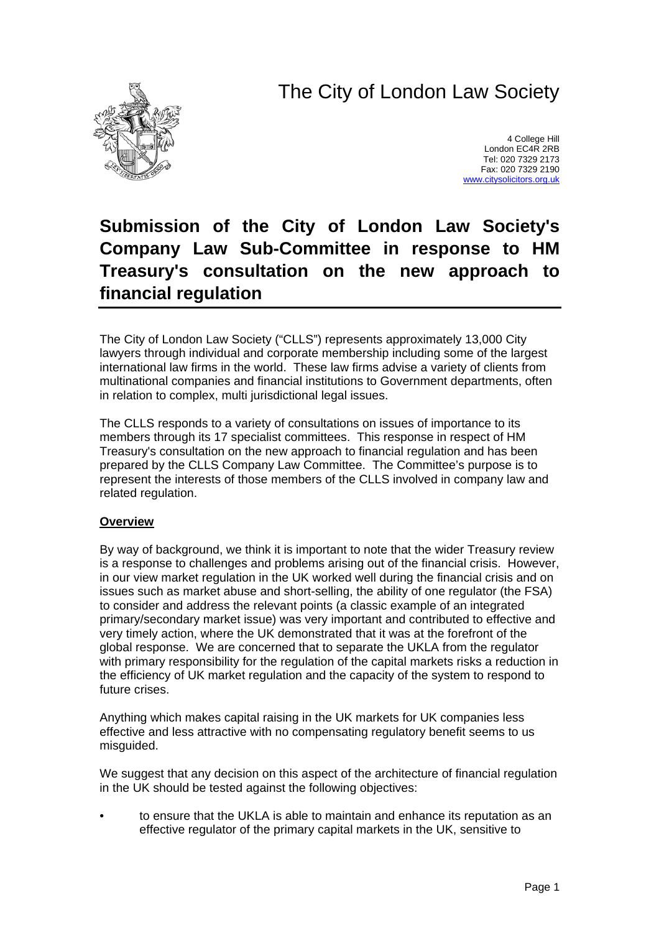# The City of London Law Society



4 College Hill London EC4R 2RB Tel: 020 7329 2173 Fax: 020 7329 2190 [www.citysolicitors.org.uk](http://www.citysolicitors.org.uk/)

## **Submission of the City of London Law Society's Company Law Sub-Committee in response to HM Treasury's consultation on the new approach to financial regulation**

The City of London Law Society ("CLLS") represents approximately 13,000 City lawyers through individual and corporate membership including some of the largest international law firms in the world. These law firms advise a variety of clients from multinational companies and financial institutions to Government departments, often in relation to complex, multi jurisdictional legal issues.

The CLLS responds to a variety of consultations on issues of importance to its members through its 17 specialist committees. This response in respect of HM Treasury's consultation on the new approach to financial regulation and has been prepared by the CLLS Company Law Committee. The Committee's purpose is to represent the interests of those members of the CLLS involved in company law and related regulation.

## **Overview**

By way of background, we think it is important to note that the wider Treasury review is a response to challenges and problems arising out of the financial crisis. However, in our view market regulation in the UK worked well during the financial crisis and on issues such as market abuse and short-selling, the ability of one regulator (the FSA) to consider and address the relevant points (a classic example of an integrated primary/secondary market issue) was very important and contributed to effective and very timely action, where the UK demonstrated that it was at the forefront of the global response. We are concerned that to separate the UKLA from the regulator with primary responsibility for the regulation of the capital markets risks a reduction in the efficiency of UK market regulation and the capacity of the system to respond to future crises.

Anything which makes capital raising in the UK markets for UK companies less effective and less attractive with no compensating regulatory benefit seems to us misguided.

We suggest that any decision on this aspect of the architecture of financial regulation in the UK should be tested against the following objectives:

• to ensure that the UKLA is able to maintain and enhance its reputation as an effective regulator of the primary capital markets in the UK, sensitive to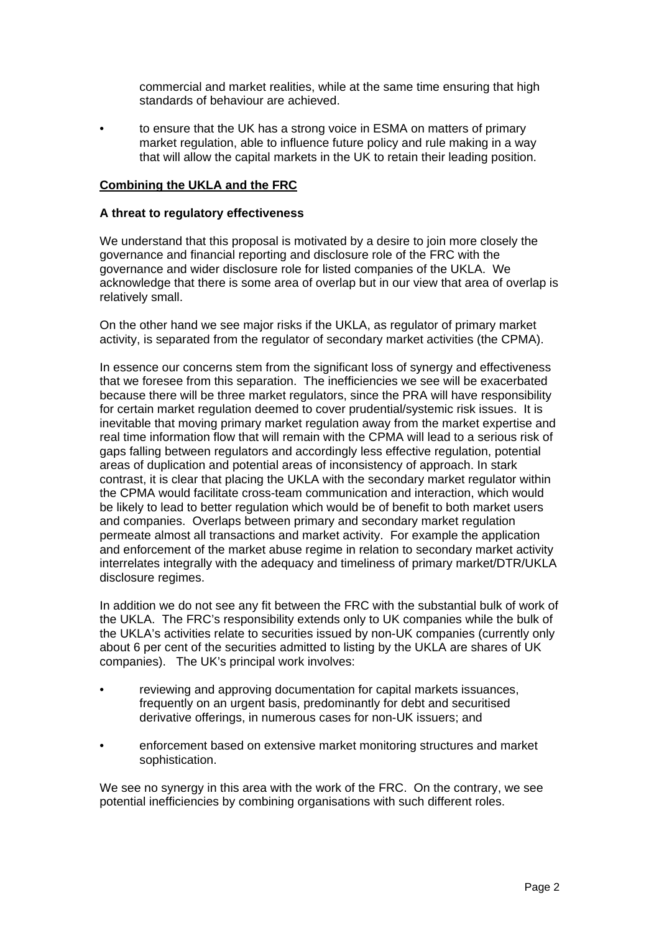commercial and market realities, while at the same time ensuring that high standards of behaviour are achieved.

• to ensure that the UK has a strong voice in ESMA on matters of primary market regulation, able to influence future policy and rule making in a way that will allow the capital markets in the UK to retain their leading position.

## **Combining the UKLA and the FRC**

#### **A threat to regulatory effectiveness**

We understand that this proposal is motivated by a desire to join more closely the governance and financial reporting and disclosure role of the FRC with the governance and wider disclosure role for listed companies of the UKLA. We acknowledge that there is some area of overlap but in our view that area of overlap is relatively small.

On the other hand we see major risks if the UKLA, as regulator of primary market activity, is separated from the regulator of secondary market activities (the CPMA).

In essence our concerns stem from the significant loss of synergy and effectiveness that we foresee from this separation. The inefficiencies we see will be exacerbated because there will be three market regulators, since the PRA will have responsibility for certain market regulation deemed to cover prudential/systemic risk issues. It is inevitable that moving primary market regulation away from the market expertise and real time information flow that will remain with the CPMA will lead to a serious risk of gaps falling between regulators and accordingly less effective regulation, potential areas of duplication and potential areas of inconsistency of approach. In stark contrast, it is clear that placing the UKLA with the secondary market regulator within the CPMA would facilitate cross-team communication and interaction, which would be likely to lead to better regulation which would be of benefit to both market users and companies. Overlaps between primary and secondary market regulation permeate almost all transactions and market activity. For example the application and enforcement of the market abuse regime in relation to secondary market activity interrelates integrally with the adequacy and timeliness of primary market/DTR/UKLA disclosure regimes.

In addition we do not see any fit between the FRC with the substantial bulk of work of the UKLA. The FRC's responsibility extends only to UK companies while the bulk of the UKLA's activities relate to securities issued by non-UK companies (currently only about 6 per cent of the securities admitted to listing by the UKLA are shares of UK companies). The UK's principal work involves:

- reviewing and approving documentation for capital markets issuances, frequently on an urgent basis, predominantly for debt and securitised derivative offerings, in numerous cases for non-UK issuers; and
- enforcement based on extensive market monitoring structures and market sophistication.

We see no synergy in this area with the work of the FRC. On the contrary, we see potential inefficiencies by combining organisations with such different roles.